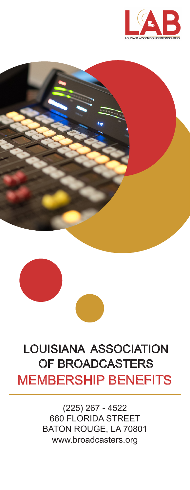





# LOUISIANA ASSOCIATION OF BROADCASTERS MEMBERSHIP BENEFITS

(225) 267 - 4522 660 FLORIDA STREET BATON ROUGE, LA 70801 www.broadcasters.org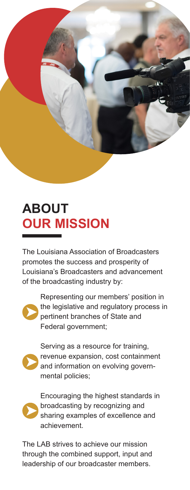

# **ABOUT OUR MISSION**

The Louisiana Association of Broadcasters promotes the success and prosperity of Louisiana's Broadcasters and advancement of the broadcasting industry by:



Representing our members' position in the legislative and regulatory process in pertinent branches of State and Federal government;



Serving as a resource for training, revenue expansion, cost containment and information on evolving governmental policies;



Encouraging the highest standards in broadcasting by recognizing and sharing examples of excellence and achievement.

The LAB strives to achieve our mission through the combined support, input and leadership of our broadcaster members.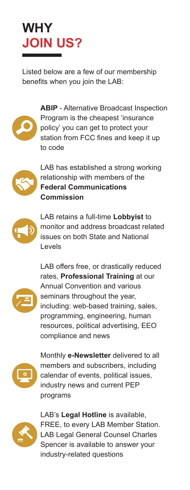# **WHY JOIN US?**

Listed below are a few of our membership benefits when you join the LAB:



**ABIP** - Alternative Broadcast Inspection Program is the cheapest 'insurance policy' you can get to protect your station from FCC fines and keep it up to code



LAB has established a strong working relationship with members of the **Federal Communications Commission**



LAB retains a full-time **Lobbyist** to monitor and address broadcast related issues on both State and National Levels



LAB offers free, or drastically reduced rates, **Professional Training** at our Annual Convention and various seminars throughout the year, including: web-based training, sales, programming, engineering, human resources, political advertising, EEO compliance and news



Monthly **e-Newsletter** delivered to all members and subscribers, including calendar of events, political issues, industry news and current PEP programs



LAB's **Legal Hotline** is available, FREE, to every LAB Member Station. LAB Legal General Counsel Charles Spencer is available to answer your industry-related questions